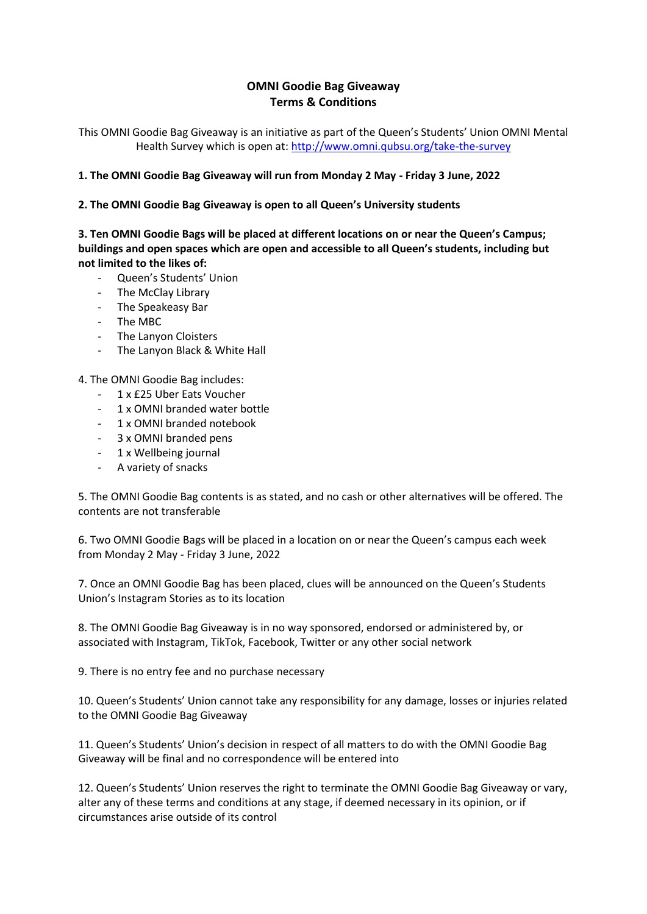## **[OMNI Goodie Bag Giveaway](https://www.twowheelsforlife.org/news/competition-terms-and-conditions/the-bike-shed-goodie-bag-giveaway-terms-conditions/) Terms & Conditions**

This OMNI Goodie Bag Giveaway is an initiative as part of the Queen's Students' Union OMNI Mental Health Survey which is open at:<http://www.omni.qubsu.org/take-the-survey>

## **1. The OMNI Goodie Bag Giveaway will run from Monday 2 May - Friday 3 June, 2022**

## **2. The OMNI Goodie Bag Giveaway is open to all Queen's University students**

**3. Ten OMNI Goodie Bags will be placed at different locations on or near the Queen's Campus; buildings and open spaces which are open and accessible to all Queen's students, including but not limited to the likes of:**

- Queen's Students' Union
- The McClay Library
- The Speakeasy Bar
- The MBC
- The Lanyon Cloisters
- The Lanyon Black & White Hall

4. The OMNI Goodie Bag includes:

- 1 x £25 Uber Eats Voucher
- 1 x OMNI branded water bottle
- 1 x OMNI branded notebook
- 3 x OMNI branded pens
- 1 x Wellbeing journal
- A variety of snacks

5. The OMNI Goodie Bag contents is as stated, and no cash or other alternatives will be offered. The contents are not transferable

6. Two OMNI Goodie Bags will be placed in a location on or near the Queen's campus each week from Monday 2 May - Friday 3 June, 2022

7. Once an OMNI Goodie Bag has been placed, clues will be announced on the Queen's Students Union's Instagram Stories as to its location

8. The OMNI Goodie Bag Giveaway is in no way sponsored, endorsed or administered by, or associated with Instagram, TikTok, Facebook, Twitter or any other social network

9. There is no entry fee and no purchase necessary

10. Queen's Students' Union cannot take any responsibility for any damage, losses or injuries related to the OMNI Goodie Bag Giveaway

11. Queen's Students' Union's decision in respect of all matters to do with the OMNI Goodie Bag Giveaway will be final and no correspondence will be entered into

12. Queen's Students' Union reserves the right to terminate the OMNI Goodie Bag Giveaway or vary, alter any of these terms and conditions at any stage, if deemed necessary in its opinion, or if circumstances arise outside of its control